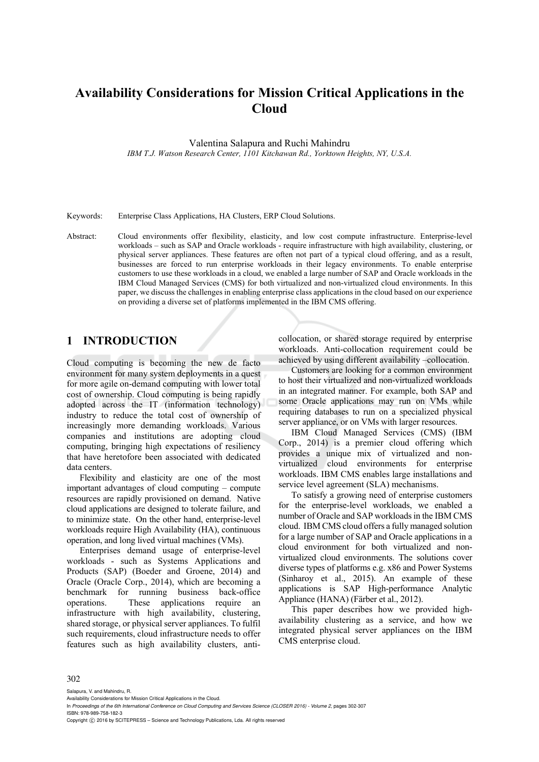# **Availability Considerations for Mission Critical Applications in the Cloud**

Valentina Salapura and Ruchi Mahindru

*IBM T.J. Watson Research Center, 1101 Kitchawan Rd., Yorktown Heights, NY, U.S.A.* 

Keywords: Enterprise Class Applications, HA Clusters, ERP Cloud Solutions.

Abstract: Cloud environments offer flexibility, elasticity, and low cost compute infrastructure. Enterprise-level workloads – such as SAP and Oracle workloads - require infrastructure with high availability, clustering, or physical server appliances. These features are often not part of a typical cloud offering, and as a result, businesses are forced to run enterprise workloads in their legacy environments. To enable enterprise customers to use these workloads in a cloud, we enabled a large number of SAP and Oracle workloads in the IBM Cloud Managed Services (CMS) for both virtualized and non-virtualized cloud environments. In this paper, we discuss the challenges in enabling enterprise class applications in the cloud based on our experience on providing a diverse set of platforms implemented in the IBM CMS offering.

#### **1 INTRODUCTION**

Cloud computing is becoming the new de facto environment for many system deployments in a quest for more agile on-demand computing with lower total cost of ownership. Cloud computing is being rapidly adopted across the IT (information technology) industry to reduce the total cost of ownership of increasingly more demanding workloads. Various companies and institutions are adopting cloud computing, bringing high expectations of resiliency that have heretofore been associated with dedicated data centers.

Flexibility and elasticity are one of the most important advantages of cloud computing – compute resources are rapidly provisioned on demand. Native cloud applications are designed to tolerate failure, and to minimize state. On the other hand, enterprise-level workloads require High Availability (HA), continuous operation, and long lived virtual machines (VMs).

Enterprises demand usage of enterprise-level workloads - such as Systems Applications and Products (SAP) (Boeder and Groene, 2014) and Oracle (Oracle Corp., 2014), which are becoming a benchmark for running business back-office operations. These applications require an infrastructure with high availability, clustering, shared storage, or physical server appliances. To fulfil such requirements, cloud infrastructure needs to offer features such as high availability clusters, anticollocation, or shared storage required by enterprise workloads. Anti-collocation requirement could be achieved by using different availability –collocation.

Customers are looking for a common environment to host their virtualized and non-virtualized workloads in an integrated manner. For example, both SAP and some Oracle applications may run on VMs while requiring databases to run on a specialized physical server appliance, or on VMs with larger resources.

IBM Cloud Managed Services (CMS) (IBM Corp., 2014) is a premier cloud offering which provides a unique mix of virtualized and nonvirtualized cloud environments for enterprise workloads. IBM CMS enables large installations and service level agreement (SLA) mechanisms.

To satisfy a growing need of enterprise customers for the enterprise-level workloads, we enabled a number of Oracle and SAP workloads in the IBM CMS cloud. IBM CMS cloud offers a fully managed solution for a large number of SAP and Oracle applications in a cloud environment for both virtualized and nonvirtualized cloud environments. The solutions cover diverse types of platforms e.g. x86 and Power Systems (Sinharoy et al., 2015). An example of these applications is SAP High-performance Analytic Appliance (HANA) (Färber et al., 2012).

This paper describes how we provided highavailability clustering as a service, and how we integrated physical server appliances on the IBM CMS enterprise cloud.

#### 302

Salapura, V. and Mahindru, R.

Availability Considerations for Mission Critical Applications in the Cloud.

In *Proceedings of the 6th International Conference on Cloud Computing and Services Science (CLOSER 2016) - Volume 2*, pages 302-307 ISBN: 978-989-758-182-3

Copyright (C) 2016 by SCITEPRESS – Science and Technology Publications, Lda. All rights reserved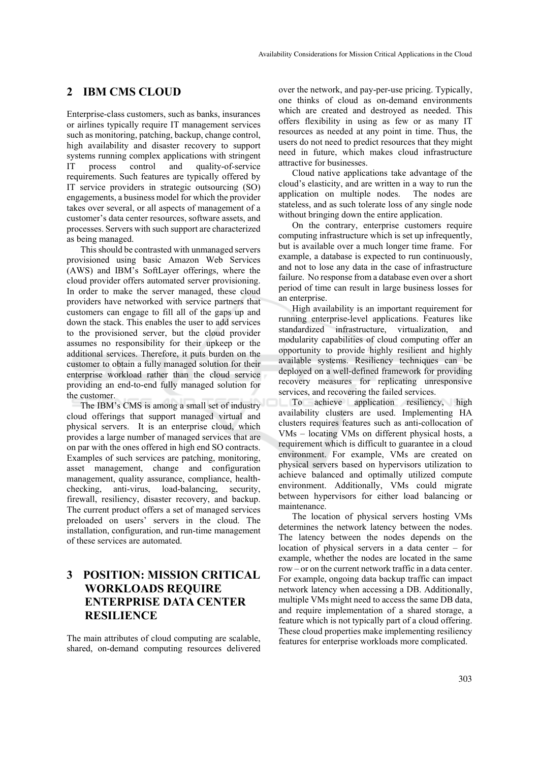#### **2 IBM CMS CLOUD**

Enterprise-class customers, such as banks, insurances or airlines typically require IT management services such as monitoring, patching, backup, change control, high availability and disaster recovery to support systems running complex applications with stringent IT process control and quality-of-service requirements. Such features are typically offered by IT service providers in strategic outsourcing (SO) engagements, a business model for which the provider takes over several, or all aspects of management of a customer's data center resources, software assets, and processes. Servers with such support are characterized as being managed.

This should be contrasted with unmanaged servers provisioned using basic Amazon Web Services (AWS) and IBM's SoftLayer offerings, where the cloud provider offers automated server provisioning. In order to make the server managed, these cloud providers have networked with service partners that customers can engage to fill all of the gaps up and down the stack. This enables the user to add services to the provisioned server, but the cloud provider assumes no responsibility for their upkeep or the additional services. Therefore, it puts burden on the customer to obtain a fully managed solution for their enterprise workload rather than the cloud service providing an end-to-end fully managed solution for the customer.

The IBM's CMS is among a small set of industry cloud offerings that support managed virtual and physical servers. It is an enterprise cloud, which provides a large number of managed services that are on par with the ones offered in high end SO contracts. Examples of such services are patching, monitoring, asset management, change and configuration management, quality assurance, compliance, healthchecking, anti-virus, load-balancing, security, firewall, resiliency, disaster recovery, and backup. The current product offers a set of managed services preloaded on users' servers in the cloud. The installation, configuration, and run-time management of these services are automated.

### **3 POSITION: MISSION CRITICAL WORKLOADS REQUIRE ENTERPRISE DATA CENTER RESILIENCE**

The main attributes of cloud computing are scalable, shared, on-demand computing resources delivered over the network, and pay-per-use pricing. Typically, one thinks of cloud as on-demand environments which are created and destroyed as needed. This offers flexibility in using as few or as many IT resources as needed at any point in time. Thus, the users do not need to predict resources that they might need in future, which makes cloud infrastructure attractive for businesses.

Cloud native applications take advantage of the cloud's elasticity, and are written in a way to run the application on multiple nodes. The nodes are stateless, and as such tolerate loss of any single node without bringing down the entire application.

On the contrary, enterprise customers require computing infrastructure which is set up infrequently, but is available over a much longer time frame. For example, a database is expected to run continuously, and not to lose any data in the case of infrastructure failure. No response from a database even over a short period of time can result in large business losses for an enterprise.

High availability is an important requirement for running enterprise-level applications. Features like standardized infrastructure, virtualization, and modularity capabilities of cloud computing offer an opportunity to provide highly resilient and highly available systems. Resiliency techniques can be deployed on a well-defined framework for providing recovery measures for replicating unresponsive services, and recovering the failed services.

To achieve application resiliency, high availability clusters are used. Implementing HA clusters requires features such as anti-collocation of VMs – locating VMs on different physical hosts, a requirement which is difficult to guarantee in a cloud environment. For example, VMs are created on physical servers based on hypervisors utilization to achieve balanced and optimally utilized compute environment. Additionally, VMs could migrate between hypervisors for either load balancing or maintenance.

The location of physical servers hosting VMs determines the network latency between the nodes. The latency between the nodes depends on the location of physical servers in a data center – for example, whether the nodes are located in the same row – or on the current network traffic in a data center. For example, ongoing data backup traffic can impact network latency when accessing a DB. Additionally, multiple VMs might need to access the same DB data, and require implementation of a shared storage, a feature which is not typically part of a cloud offering. These cloud properties make implementing resiliency features for enterprise workloads more complicated.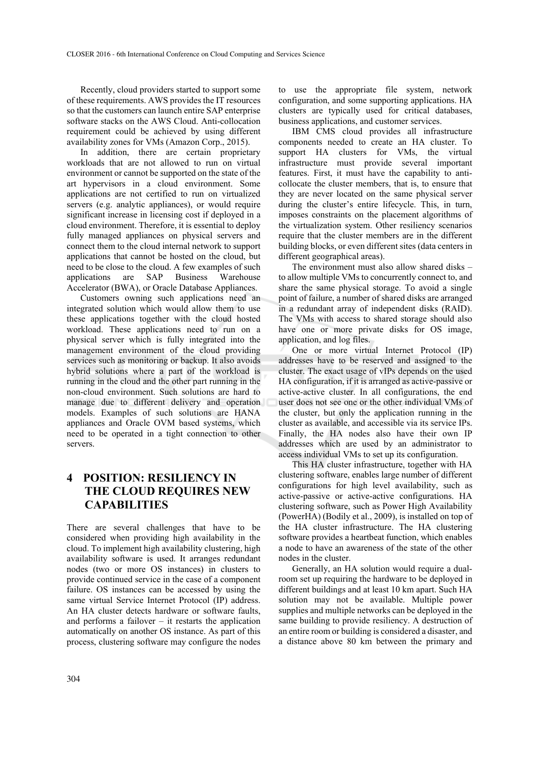Recently, cloud providers started to support some of these requirements. AWS provides the IT resources so that the customers can launch entire SAP enterprise software stacks on the AWS Cloud. Anti-collocation requirement could be achieved by using different availability zones for VMs (Amazon Corp., 2015).

In addition, there are certain proprietary workloads that are not allowed to run on virtual environment or cannot be supported on the state of the art hypervisors in a cloud environment. Some applications are not certified to run on virtualized servers (e.g. analytic appliances), or would require significant increase in licensing cost if deployed in a cloud environment. Therefore, it is essential to deploy fully managed appliances on physical servers and connect them to the cloud internal network to support applications that cannot be hosted on the cloud, but need to be close to the cloud. A few examples of such applications are SAP Business Warehouse Accelerator (BWA), or Oracle Database Appliances.

Customers owning such applications need an integrated solution which would allow them to use these applications together with the cloud hosted workload. These applications need to run on a physical server which is fully integrated into the management environment of the cloud providing services such as monitoring or backup. It also avoids hybrid solutions where a part of the workload is running in the cloud and the other part running in the non-cloud environment. Such solutions are hard to manage due to different delivery and operation models. Examples of such solutions are HANA appliances and Oracle OVM based systems, which need to be operated in a tight connection to other servers.

### **4 POSITION: RESILIENCY IN THE CLOUD REQUIRES NEW CAPABILITIES**

There are several challenges that have to be considered when providing high availability in the cloud. To implement high availability clustering, high availability software is used. It arranges redundant nodes (two or more OS instances) in clusters to provide continued service in the case of a component failure. OS instances can be accessed by using the same virtual Service Internet Protocol (IP) address. An HA cluster detects hardware or software faults, and performs a failover  $-$  it restarts the application automatically on another OS instance. As part of this process, clustering software may configure the nodes

to use the appropriate file system, network configuration, and some supporting applications. HA clusters are typically used for critical databases, business applications, and customer services.

IBM CMS cloud provides all infrastructure components needed to create an HA cluster. To support HA clusters for VMs, the virtual infrastructure must provide several important features. First, it must have the capability to anticollocate the cluster members, that is, to ensure that they are never located on the same physical server during the cluster's entire lifecycle. This, in turn, imposes constraints on the placement algorithms of the virtualization system. Other resiliency scenarios require that the cluster members are in the different building blocks, or even different sites (data centers in different geographical areas).

The environment must also allow shared disks – to allow multiple VMs to concurrently connect to, and share the same physical storage. To avoid a single point of failure, a number of shared disks are arranged in a redundant array of independent disks (RAID). The VMs with access to shared storage should also have one or more private disks for OS image, application, and log files.

One or more virtual Internet Protocol (IP) addresses have to be reserved and assigned to the cluster. The exact usage of vIPs depends on the used HA configuration, if it is arranged as active-passive or active-active cluster. In all configurations, the end user does not see one or the other individual VMs of the cluster, but only the application running in the cluster as available, and accessible via its service IPs. Finally, the HA nodes also have their own IP addresses which are used by an administrator to access individual VMs to set up its configuration.

This HA cluster infrastructure, together with HA clustering software, enables large number of different configurations for high level availability, such as active-passive or active-active configurations. HA clustering software, such as Power High Availability (PowerHA) (Bodily et al., 2009), is installed on top of the HA cluster infrastructure. The HA clustering software provides a heartbeat function, which enables a node to have an awareness of the state of the other nodes in the cluster.

Generally, an HA solution would require a dualroom set up requiring the hardware to be deployed in different buildings and at least 10 km apart. Such HA solution may not be available. Multiple power supplies and multiple networks can be deployed in the same building to provide resiliency. A destruction of an entire room or building is considered a disaster, and a distance above 80 km between the primary and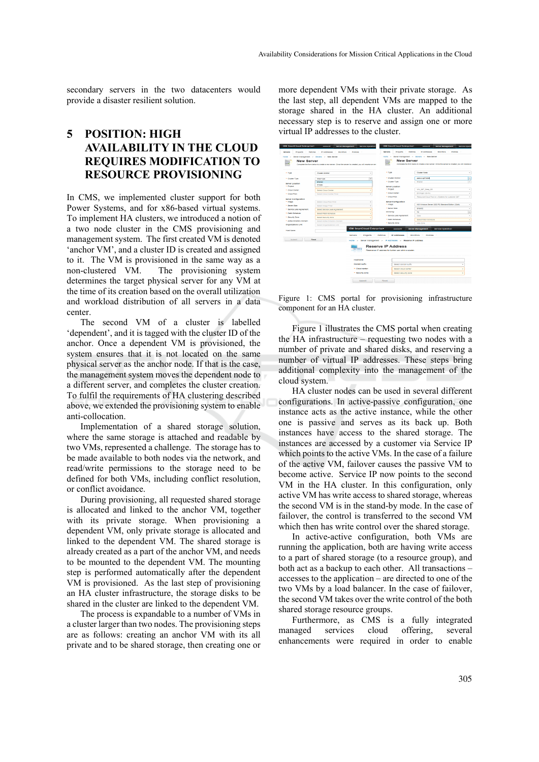secondary servers in the two datacenters would provide a disaster resilient solution.

## **5 POSITION: HIGH AVAILABILITY IN THE CLOUD REQUIRES MODIFICATION TO RESOURCE PROVISIONING**

In CMS, we implemented cluster support for both Power Systems, and for x86-based virtual systems. To implement HA clusters, we introduced a notion of a two node cluster in the CMS provisioning and management system. The first created VM is denoted 'anchor VM', and a cluster ID is created and assigned to it. The VM is provisioned in the same way as a non-clustered VM. The provisioning system determines the target physical server for any VM at the time of its creation based on the overall utilization and workload distribution of all servers in a data center.

The second VM of a cluster is labelled 'dependent', and it is tagged with the cluster ID of the anchor. Once a dependent VM is provisioned, the system ensures that it is not located on the same physical server as the anchor node. If that is the case, the management system moves the dependent node to a different server, and completes the cluster creation. To fulfil the requirements of HA clustering described above, we extended the provisioning system to enable anti-collocation.

Implementation of a shared storage solution, where the same storage is attached and readable by two VMs, represented a challenge. The storage has to be made available to both nodes via the network, and read/write permissions to the storage need to be defined for both VMs, including conflict resolution, or conflict avoidance.

During provisioning, all requested shared storage is allocated and linked to the anchor VM, together with its private storage. When provisioning a dependent VM, only private storage is allocated and linked to the dependent VM. The shared storage is already created as a part of the anchor VM, and needs to be mounted to the dependent VM. The mounting step is performed automatically after the dependent VM is provisioned. As the last step of provisioning an HA cluster infrastructure, the storage disks to be shared in the cluster are linked to the dependent VM.

The process is expandable to a number of VMs in a cluster larger than two nodes. The provisioning steps are as follows: creating an anchor VM with its all private and to be shared storage, then creating one or more dependent VMs with their private storage. As the last step, all dependent VMs are mapped to the storage shared in the HA cluster. An additional necessary step is to reserve and assign one or more virtual IP addresses to the cluster.

| <b>IBM SmartCloud Enterprise+</b> | Account<br>Server Management                                                                         | <b>Service Operation</b>          | <b>IBM SmartCloud Enterprise+</b>                                                    | <b>Server Management</b><br>Account                                                             | <b>Service Operat</b>    |
|-----------------------------------|------------------------------------------------------------------------------------------------------|-----------------------------------|--------------------------------------------------------------------------------------|-------------------------------------------------------------------------------------------------|--------------------------|
| Patches<br>Projects  <br>Servers  | IP Addresses<br>Monitors Policies                                                                    |                                   | Patches<br><b>Servers</b><br>Projects                                                | IP Addresses<br><b>Monthers</b><br>-11<br>a.                                                    | <b>Policies</b><br>n e   |
| Home.<br>×                        | Server Management > Servers > New Server                                                             |                                   | <b>Home</b><br>$\sim$                                                                | Server Management - Servers - New Server                                                        |                          |
| <b>New Server</b>                 | Complete the form below to create a new server. Once the server is created, you will receive an enti |                                   | <b>New Server</b>                                                                    | Complete the form below to create a new server. Once the server is created, you will receive an |                          |
| * Tipe:                           | Cluster Andhor                                                                                       | ۰                                 | * Type                                                                               | Cluster Node                                                                                    | $\sim$                   |
| * Cluster Type:                   | <b>Disk Type</b>                                                                                     | ٠                                 | * Cluster Anchor.                                                                    | geens to #72008                                                                                 | $\overline{\phantom{a}}$ |
|                                   | <b>Rhared</b>                                                                                        |                                   | * Cluster Type                                                                       | <b>Shared</b>                                                                                   | ٠                        |
| server Location<br>* Project      | Private                                                                                              |                                   | <b>Server Location</b>                                                               |                                                                                                 |                          |
| * Cloud Center                    |                                                                                                      |                                   | - Project                                                                            | WW. G67, 80ep. KS                                                                               | ٠                        |
|                                   | Select Cloud Center                                                                                  |                                   | * Cloud Center                                                                       | Ehringen (EHN)                                                                                  | ٠                        |
| * Cloud Pool                      | Select Cloud Center First                                                                            |                                   | * Cloud Pool                                                                         | Resource/Cloud Pool on x Systems for customer G67.                                              | $\sim$                   |
| <b>Server Configuration</b>       |                                                                                                      |                                   |                                                                                      |                                                                                                 |                          |
| * Image                           | Select Cloud Pool First                                                                              |                                   | <b>Server Configuration</b>                                                          |                                                                                                 |                          |
| $+$ Secure Size:                  | Select Image First                                                                                   | ÷                                 | * image.                                                                             | M& Windows Berver 2003 H2 Standard Biblion (3208)                                               | $\overline{\phantom{a}}$ |
| * Sendos Level Agreement          | Select Service Level Agreement                                                                       | ÷                                 | $-$ Server Stze:                                                                     | <b>Amazon</b>                                                                                   | $\sim$                   |
| * Patch Schedule:                 | <b>Berect Patch Schedule</b>                                                                         |                                   | Mirroring:                                                                           | NH                                                                                              | $\overline{\phantom{a}}$ |
| * Security Zone:                  | Select Security Zone                                                                                 |                                   | * Sentos Level Agreement                                                             | CLOSE                                                                                           | $\overline{\phantom{a}}$ |
| * Active Directory Domain:        | Select Active Directory Domain                                                                       |                                   | * Patch Schedule:                                                                    | Select Patch Schedule                                                                           | $\sim$                   |
| Organizational Link               |                                                                                                      |                                   | * Security Zone:                                                                     | <b>Vien Zone</b>                                                                                | ٠                        |
|                                   | Beledi Organizational Link                                                                           |                                   |                                                                                      |                                                                                                 |                          |
| <b>Host Name:</b>                 |                                                                                                      | <b>IBM SmartCloud Enterprise+</b> | Account                                                                              | <b>Server Management</b><br><b>Service Operation</b>                                            |                          |
|                                   | <b>Servers</b>                                                                                       | Projects                          | Patches<br>IP Addresses                                                              | Monitors<br>٠<br>Policies                                                                       |                          |
| <b>Bubont</b>                     | <b>Medet</b>                                                                                         | Home >                            | Server Management > P Addresses > Reserve IP Address                                 |                                                                                                 |                          |
|                                   |                                                                                                      | 0.123.4                           | <b>Reserve IP Address</b><br>Reserve an IP address for further use within a cluster. |                                                                                                 |                          |
|                                   |                                                                                                      | <b>Hostname:</b>                  |                                                                                      |                                                                                                 |                          |
|                                   |                                                                                                      | <b>Domain suffix</b>              | <b>Relect domain suffix</b>                                                          |                                                                                                 |                          |
|                                   |                                                                                                      | * Cloud center.                   | Select cloud center                                                                  |                                                                                                 |                          |
|                                   |                                                                                                      | * Security zone:                  | Select security zone                                                                 |                                                                                                 |                          |
|                                   |                                                                                                      | <b>Submit</b>                     | <b>PLOGGE</b>                                                                        |                                                                                                 |                          |

Figure 1: CMS portal for provisioning infrastructure component for an HA cluster.

Figure 1 illustrates the CMS portal when creating the HA infrastructure – requesting two nodes with a number of private and shared disks, and reserving a number of virtual IP addresses. These steps bring additional complexity into the management of the cloud system.

HA cluster nodes can be used in several different configurations. In active-passive configuration, one instance acts as the active instance, while the other one is passive and serves as its back up. Both instances have access to the shared storage. The instances are accessed by a customer via Service IP which points to the active VMs. In the case of a failure of the active VM, failover causes the passive VM to become active. Service IP now points to the second VM in the HA cluster. In this configuration, only active VM has write access to shared storage, whereas the second VM is in the stand-by mode. In the case of failover, the control is transferred to the second VM which then has write control over the shared storage.

In active-active configuration, both VMs are running the application, both are having write access to a part of shared storage (to a resource group), and both act as a backup to each other. All transactions – accesses to the application – are directed to one of the two VMs by a load balancer. In the case of failover, the second VM takes over the write control of the both shared storage resource groups.

Furthermore, as CMS is a fully integrated managed services cloud offering, several enhancements were required in order to enable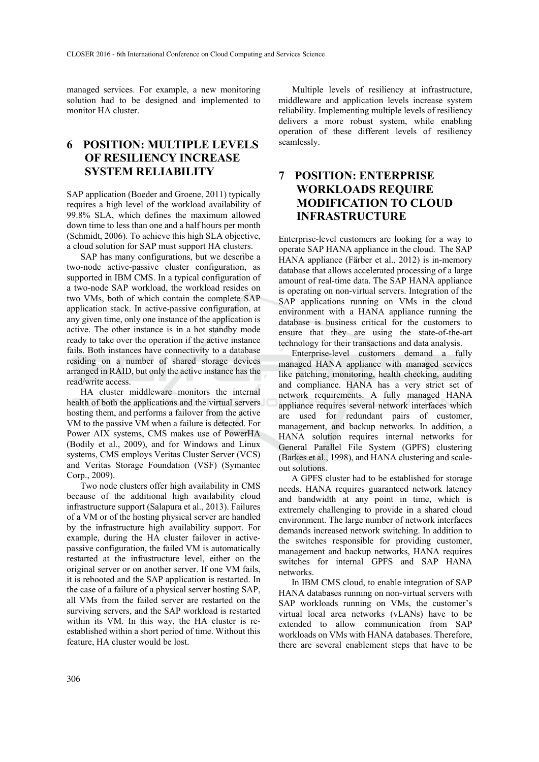managed services. For example, a new monitoring solution had to be designed and implemented to monitor HA cluster.

### **6 POSITION: MULTIPLE LEVELS OF RESILIENCY INCREASE SYSTEM RELIABILITY**

SAP application (Boeder and Groene, 2011) typically requires a high level of the workload availability of 99.8% SLA, which defines the maximum allowed down time to less than one and a half hours per month (Schmidt, 2006). To achieve this high SLA objective, a cloud solution for SAP must support HA clusters.

SAP has many configurations, but we describe a two-node active-passive cluster configuration, as supported in IBM CMS. In a typical configuration of a two-node SAP workload, the workload resides on two VMs, both of which contain the complete SAP application stack. In active-passive configuration, at any given time, only one instance of the application is active. The other instance is in a hot standby mode ready to take over the operation if the active instance fails. Both instances have connectivity to a database residing on a number of shared storage devices arranged in RAID, but only the active instance has the read/write access.

HA cluster middleware monitors the internal health of both the applications and the virtual servers hosting them, and performs a failover from the active VM to the passive VM when a failure is detected. For Power AIX systems, CMS makes use of PowerHA (Bodily et al., 2009), and for Windows and Linux systems, CMS employs Veritas Cluster Server (VCS) and Veritas Storage Foundation (VSF) (Symantec Corp., 2009).

Two node clusters offer high availability in CMS because of the additional high availability cloud infrastructure support (Salapura et al., 2013). Failures of a VM or of the hosting physical server are handled by the infrastructure high availability support. For example, during the HA cluster failover in activepassive configuration, the failed VM is automatically restarted at the infrastructure level, either on the original server or on another server. If one VM fails, it is rebooted and the SAP application is restarted. In the case of a failure of a physical server hosting SAP, all VMs from the failed server are restarted on the surviving servers, and the SAP workload is restarted within its VM. In this way, the HA cluster is reestablished within a short period of time. Without this feature, HA cluster would be lost.

Multiple levels of resiliency at infrastructure, middleware and application levels increase system reliability. Implementing multiple levels of resiliency delivers a more robust system, while enabling operation of these different levels of resiliency seamlessly.

### **7 POSITION: ENTERPRISE WORKLOADS REQUIRE MODIFICATION TO CLOUD INFRASTRUCTURE**

Enterprise-level customers are looking for a way to operate SAP HANA appliance in the cloud. The SAP HANA appliance (Färber et al., 2012) is in-memory database that allows accelerated processing of a large amount of real-time data. The SAP HANA appliance is operating on non-virtual servers. Integration of the SAP applications running on VMs in the cloud environment with a HANA appliance running the database is business critical for the customers to ensure that they are using the state-of-the-art technology for their transactions and data analysis.

Enterprise-level customers demand a fully managed HANA appliance with managed services like patching, monitoring, health checking, auditing and compliance. HANA has a very strict set of network requirements. A fully managed HANA appliance requires several network interfaces which are used for redundant pairs of customer, management, and backup networks. In addition, a HANA solution requires internal networks for General Parallel File System (GPFS) clustering (Barkes et al., 1998), and HANA clustering and scaleout solutions.

A GPFS cluster had to be established for storage needs. HANA requires guaranteed network latency and bandwidth at any point in time, which is extremely challenging to provide in a shared cloud environment. The large number of network interfaces demands increased network switching. In addition to the switches responsible for providing customer, management and backup networks, HANA requires switches for internal GPFS and SAP HANA networks.

In IBM CMS cloud, to enable integration of SAP HANA databases running on non-virtual servers with SAP workloads running on VMs, the customer's virtual local area networks (vLANs) have to be extended to allow communication from SAP workloads on VMs with HANA databases. Therefore, there are several enablement steps that have to be